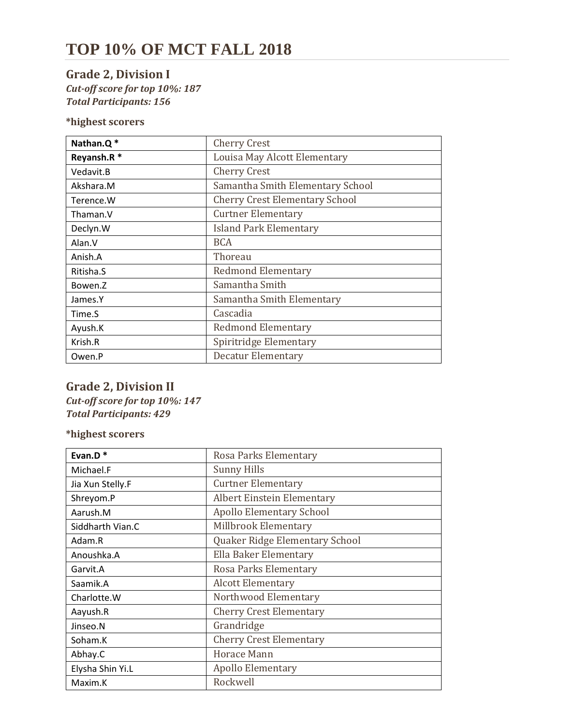# **TOP 10% OF MCT FALL 2018**

### **Grade 2, Division I** *Cut-off score for top 10%: 187 Total Participants: 156*

**\*highest scorers** 

| Nathan.Q*  | <b>Cherry Crest</b>                   |
|------------|---------------------------------------|
| Reyansh.R* | Louisa May Alcott Elementary          |
| Vedavit B  | <b>Cherry Crest</b>                   |
| Akshara.M  | Samantha Smith Elementary School      |
| Terence.W  | <b>Cherry Crest Elementary School</b> |
| Thaman.V   | <b>Curtner Elementary</b>             |
| Declyn.W   | <b>Island Park Elementary</b>         |
| Alan.V     | <b>BCA</b>                            |
| Anish.A    | Thoreau                               |
| Ritisha.S  | <b>Redmond Elementary</b>             |
| Bowen.Z    | Samantha Smith                        |
| James.Y    | Samantha Smith Elementary             |
| Time.S     | Cascadia                              |
| Ayush.K    | <b>Redmond Elementary</b>             |
| Krish.R    | Spiritridge Elementary                |
| Owen.P     | Decatur Elementary                    |

#### **Grade 2, Division II** *Cut-off score for top 10%: 147 Total Participants: 429*

| Evan.D*          | Rosa Parks Elementary             |
|------------------|-----------------------------------|
| Michael.F        | <b>Sunny Hills</b>                |
| Jia Xun Stelly.F | <b>Curtner Elementary</b>         |
| Shreyom.P        | <b>Albert Einstein Elementary</b> |
| Aarush.M         | <b>Apollo Elementary School</b>   |
| Siddharth Vian.C | Millbrook Elementary              |
| Adam.R           | Quaker Ridge Elementary School    |
| Anoushka.A       | Ella Baker Elementary             |
| Garvit.A         | Rosa Parks Elementary             |
| Saamik.A         | <b>Alcott Elementary</b>          |
| Charlotte.W      | Northwood Elementary              |
| Aayush.R         | <b>Cherry Crest Elementary</b>    |
| Jinseo.N         | Grandridge                        |
| Soham.K          | <b>Cherry Crest Elementary</b>    |
| Abhay.C          | <b>Horace Mann</b>                |
| Elysha Shin Yi.L | <b>Apollo Elementary</b>          |
| Maxim.K          | Rockwell                          |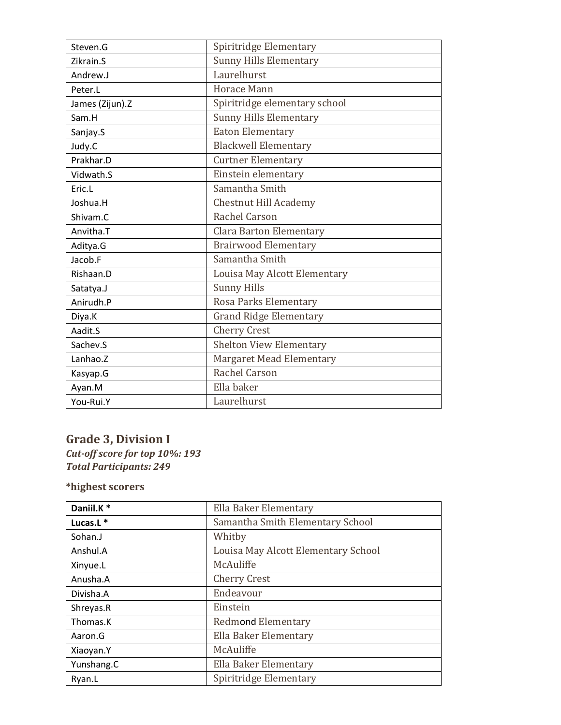| Steven.G        | Spiritridge Elementary          |
|-----------------|---------------------------------|
| Zikrain.S       | <b>Sunny Hills Elementary</b>   |
| Andrew.J        | Laurelhurst                     |
| Peter.L         | <b>Horace Mann</b>              |
| James (Zijun).Z | Spiritridge elementary school   |
| Sam.H           | <b>Sunny Hills Elementary</b>   |
| Sanjay.S        | <b>Eaton Elementary</b>         |
| Judy.C          | <b>Blackwell Elementary</b>     |
| Prakhar.D       | <b>Curtner Elementary</b>       |
| Vidwath.S       | Einstein elementary             |
| Eric.L          | Samantha Smith                  |
| Joshua.H        | Chestnut Hill Academy           |
| Shivam.C        | Rachel Carson                   |
| Anvitha.T       | <b>Clara Barton Elementary</b>  |
| Aditya.G        | <b>Brairwood Elementary</b>     |
| Jacob.F         | Samantha Smith                  |
| Rishaan.D       | Louisa May Alcott Elementary    |
| Satatya.J       | <b>Sunny Hills</b>              |
| Anirudh.P       | Rosa Parks Elementary           |
| Diya.K          | <b>Grand Ridge Elementary</b>   |
| Aadit.S         | <b>Cherry Crest</b>             |
| Sachev.S        | <b>Shelton View Elementary</b>  |
| Lanhao.Z        | <b>Margaret Mead Elementary</b> |
| Kasyap.G        | Rachel Carson                   |
| Ayan.M          | Ella baker                      |
| You-Rui.Y       | Laurelhurst                     |

### **Grade 3, Division I**

*Cut-off score for top 10%: 193 Total Participants: 249*

| Daniil.K*    | Ella Baker Elementary               |
|--------------|-------------------------------------|
| Lucas. $L^*$ | Samantha Smith Elementary School    |
| Sohan.J      | Whitby                              |
| Anshul.A     | Louisa May Alcott Elementary School |
| Xinyue.L     | McAuliffe                           |
| Anusha.A     | <b>Cherry Crest</b>                 |
| Divisha.A    | Endeavour                           |
| Shreyas.R    | Einstein                            |
| Thomas.K     | <b>Redmond Elementary</b>           |
| Aaron.G      | Ella Baker Elementary               |
| Xiaoyan.Y    | McAuliffe                           |
| Yunshang.C   | Ella Baker Elementary               |
| Ryan.L       | Spiritridge Elementary              |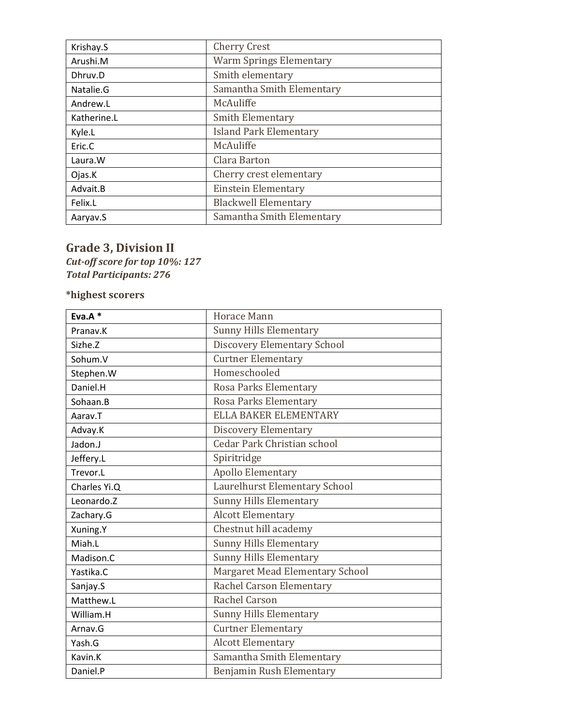| Krishay.S   | <b>Cherry Crest</b>            |
|-------------|--------------------------------|
| Arushi.M    | <b>Warm Springs Elementary</b> |
| Dhruv.D     | Smith elementary               |
| Natalie.G   | Samantha Smith Elementary      |
| Andrew.L    | McAuliffe                      |
| Katherine.L | <b>Smith Elementary</b>        |
| Kyle.L      | <b>Island Park Elementary</b>  |
| Eric.C      | McAuliffe                      |
| Laura.W     | Clara Barton                   |
| Ojas.K      | Cherry crest elementary        |
| Advait.B    | <b>Einstein Elementary</b>     |
| Felix.L     | <b>Blackwell Elementary</b>    |
| Aaryav.S    | Samantha Smith Elementary      |

### **Grade 3, Division II**

*Cut-off score for top 10%: 127 Total Participants: 276*

| Eva. $A^*$   | <b>Horace Mann</b>                 |
|--------------|------------------------------------|
| Pranav.K     | <b>Sunny Hills Elementary</b>      |
| Sizhe.Z      | <b>Discovery Elementary School</b> |
| Sohum.V      | <b>Curtner Elementary</b>          |
| Stephen.W    | Homeschooled                       |
| Daniel.H     | Rosa Parks Elementary              |
| Sohaan.B     | Rosa Parks Elementary              |
| Aarav.T      | <b>ELLA BAKER ELEMENTARY</b>       |
| Advay.K      | <b>Discovery Elementary</b>        |
| Jadon.J      | <b>Cedar Park Christian school</b> |
| Jeffery.L    | Spiritridge                        |
| Trevor.L     | <b>Apollo Elementary</b>           |
| Charles Yi.Q | Laurelhurst Elementary School      |
| Leonardo.Z   | <b>Sunny Hills Elementary</b>      |
| Zachary.G    | <b>Alcott Elementary</b>           |
| Xuning.Y     | Chestnut hill academy              |
| Miah.L       | <b>Sunny Hills Elementary</b>      |
| Madison.C.   | <b>Sunny Hills Elementary</b>      |
| Yastika.C    | Margaret Mead Elementary School    |
| Sanjay.S     | Rachel Carson Elementary           |
| Matthew.L    | Rachel Carson                      |
| William.H    | <b>Sunny Hills Elementary</b>      |
| Arnay.G      | <b>Curtner Elementary</b>          |
| Yash.G       | <b>Alcott Elementary</b>           |
| Kavin.K      | Samantha Smith Elementary          |
| Daniel.P     | Benjamin Rush Elementary           |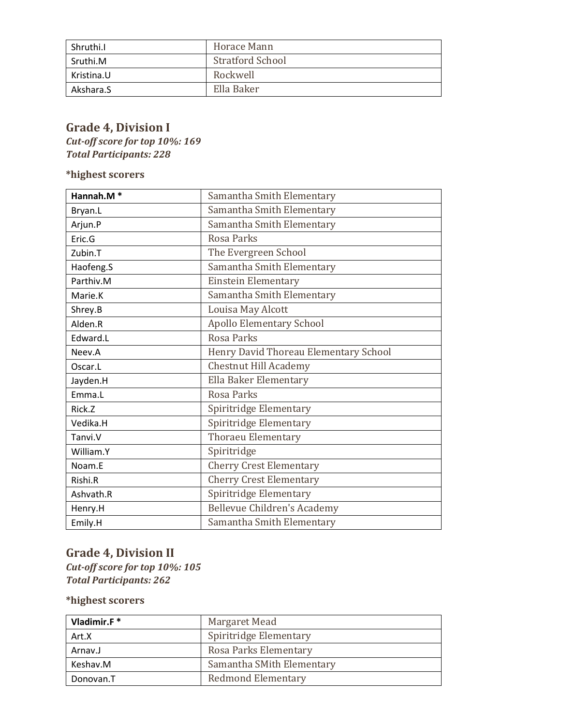| Shruthi.I  | Horace Mann             |
|------------|-------------------------|
| Sruthi.M   | <b>Stratford School</b> |
| Kristina.U | Rockwell                |
| Akshara.S  | Ella Baker              |

## **Grade 4, Division I**

*Cut-off score for top 10%: 169 Total Participants: 228*

**\*highest scorers** 

| Hannah.M* | Samantha Smith Elementary             |
|-----------|---------------------------------------|
| Bryan.L   | Samantha Smith Elementary             |
| Arjun.P   | Samantha Smith Elementary             |
| Eric.G    | Rosa Parks                            |
| Zubin.T   | The Evergreen School                  |
| Haofeng.S | Samantha Smith Elementary             |
| Parthiv.M | <b>Einstein Elementary</b>            |
| Marie.K   | Samantha Smith Elementary             |
| Shrey.B   | Louisa May Alcott                     |
| Alden.R   | <b>Apollo Elementary School</b>       |
| Edward.L  | Rosa Parks                            |
| Neev.A    | Henry David Thoreau Elementary School |
| Oscar.L   | <b>Chestnut Hill Academy</b>          |
| Jayden.H  | Ella Baker Elementary                 |
| Emma.L    | Rosa Parks                            |
| Rick.Z    | Spiritridge Elementary                |
| Vedika.H  | Spiritridge Elementary                |
| Tanvi.V   | <b>Thoraeu Elementary</b>             |
| William.Y | Spiritridge                           |
| Noam.E    | <b>Cherry Crest Elementary</b>        |
| Rishi.R   | <b>Cherry Crest Elementary</b>        |
| Ashvath.R | Spiritridge Elementary                |
| Henry.H   | Bellevue Children's Academy           |
| Emily.H   | Samantha Smith Elementary             |

### **Grade 4, Division II**

*Cut-off score for top 10%: 105 Total Participants: 262*

| Vladimir.F* | Margaret Mead             |
|-------------|---------------------------|
| Art.X       | Spiritridge Elementary    |
| Arnav.J     | Rosa Parks Elementary     |
| Keshav.M    | Samantha SMith Elementary |
| Donovan.T   | <b>Redmond Elementary</b> |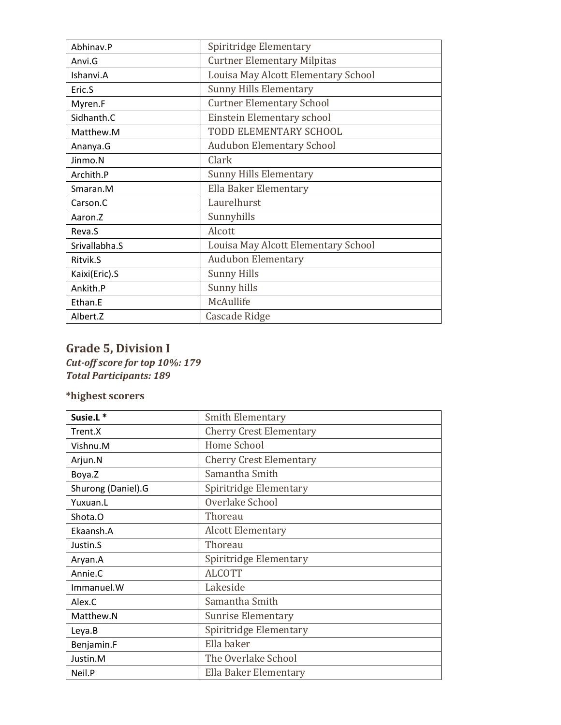| Abhinav.P     | Spiritridge Elementary              |
|---------------|-------------------------------------|
| Anvi.G        | <b>Curtner Elementary Milpitas</b>  |
| Ishanvi.A     | Louisa May Alcott Elementary School |
| Eric.S        | <b>Sunny Hills Elementary</b>       |
| Myren.F       | <b>Curtner Elementary School</b>    |
| Sidhanth.C    | Einstein Elementary school          |
| Matthew.M     | TODD ELEMENTARY SCHOOL              |
| Ananya.G      | <b>Audubon Elementary School</b>    |
| Jinmo.N       | Clark                               |
| Archith.P     | <b>Sunny Hills Elementary</b>       |
| Smaran.M      | Ella Baker Elementary               |
| Carson.C      | Laurelhurst                         |
| Aaron.Z       | Sunnyhills                          |
| Reva.S        | Alcott                              |
| Srivallabha.S | Louisa May Alcott Elementary School |
| Ritvik.S      | <b>Audubon Elementary</b>           |
| Kaixi(Eric).S | <b>Sunny Hills</b>                  |
| Ankith.P      | Sunny hills                         |
| Ethan.E       | McAullife                           |
| Albert.Z      | Cascade Ridge                       |

## **Grade 5, Division I**

*Cut-off score for top 10%: 179 Total Participants: 189*

| Susie.L <sup>*</sup> | <b>Smith Elementary</b>        |
|----------------------|--------------------------------|
| Trent.X              | <b>Cherry Crest Elementary</b> |
| Vishnu.M             | Home School                    |
| Arjun.N              | <b>Cherry Crest Elementary</b> |
| Boya.Z               | Samantha Smith                 |
| Shurong (Daniel).G   | Spiritridge Elementary         |
| Yuxuan.L             | Overlake School                |
| Shota.O              | Thoreau                        |
| Ekaansh.A            | <b>Alcott Elementary</b>       |
| Justin.S             | Thoreau                        |
| Aryan.A              | Spiritridge Elementary         |
| Annie.C              | <b>ALCOTT</b>                  |
| Immanuel.W           | Lakeside                       |
| Alex.C               | Samantha Smith                 |
| Matthew.N            | <b>Sunrise Elementary</b>      |
| Leya.B               | Spiritridge Elementary         |
| Benjamin.F           | Ella baker                     |
| Justin.M             | The Overlake School            |
| Neil.P               | Ella Baker Elementary          |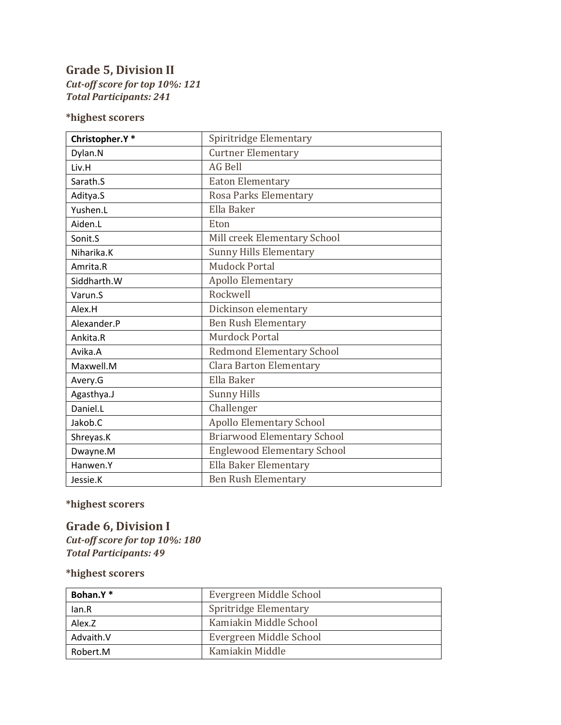#### **Grade 5, Division II** *Cut-off score for top 10%: 121 Total Participants: 241*

#### **\*highest scorers**

| Christopher.Y* | Spiritridge Elementary             |
|----------------|------------------------------------|
| Dylan.N        | <b>Curtner Elementary</b>          |
| Liv.H          | <b>AG Bell</b>                     |
| Sarath.S       | <b>Eaton Elementary</b>            |
| Aditya.S       | Rosa Parks Elementary              |
| Yushen.L       | Ella Baker                         |
| Aiden.L        | Eton                               |
| Sonit.S        | Mill creek Elementary School       |
| Niharika.K     | <b>Sunny Hills Elementary</b>      |
| Amrita.R       | <b>Mudock Portal</b>               |
| Siddharth.W    | <b>Apollo Elementary</b>           |
| Varun.S        | Rockwell                           |
| Alex.H         | Dickinson elementary               |
| Alexander.P    | <b>Ben Rush Elementary</b>         |
| Ankita.R       | Murdock Portal                     |
| Avika.A        | <b>Redmond Elementary School</b>   |
| Maxwell.M      | <b>Clara Barton Elementary</b>     |
| Avery.G        | Ella Baker                         |
| Agasthya.J     | <b>Sunny Hills</b>                 |
| Daniel.L       | Challenger                         |
| Jakob.C        | <b>Apollo Elementary School</b>    |
| Shreyas.K      | <b>Briarwood Elementary School</b> |
| Dwayne.M       | <b>Englewood Elementary School</b> |
| Hanwen.Y       | Ella Baker Elementary              |
| Jessie.K       | <b>Ben Rush Elementary</b>         |

**\*highest scorers** 

**Grade 6, Division I** *Cut-off score for top 10%: 180 Total Participants: 49*

| Bohan.Y*  | Evergreen Middle School |
|-----------|-------------------------|
| lan.R     | Spritridge Elementary   |
| Alex.Z    | Kamiakin Middle School  |
| Advaith.V | Evergreen Middle School |
| Robert.M  | Kamiakin Middle         |